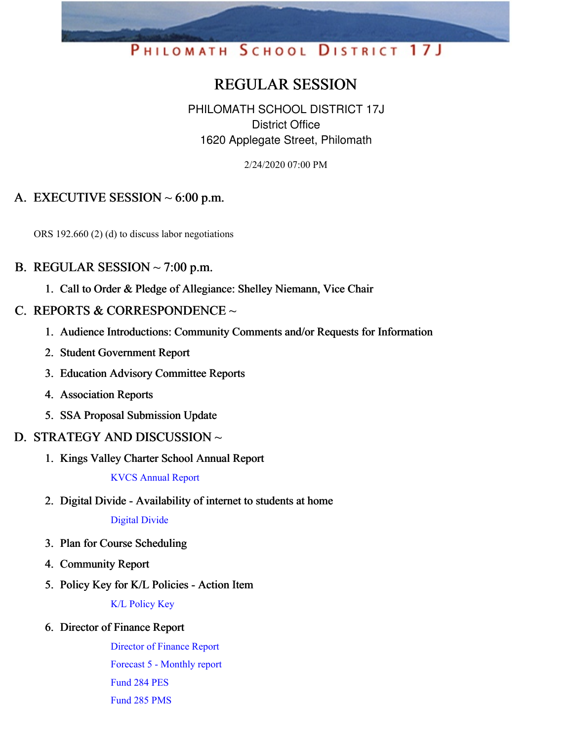# PHILOMATH SCHOOL DISTRICT 17J

## REGULAR SESSION

PHILOMATH SCHOOL DISTRICT 17J District Office 1620 Applegate Street, Philomath

2/24/2020 07:00 PM

## A. EXECUTIVE SESSION  $\sim$  6:00 p.m.

ORS 192.660 (2) (d) to discuss labor negotiations

#### B. REGULAR SESSION  $\sim$  7:00 p.m.

1. Call to Order & Pledge of Allegiance: Shelley Niemann, Vice Chair

#### C. REPORTS & CORRESPONDENCE  $\sim$

- 1. Audience Introductions: Community Comments and/or Requests for Information
- 2. Student Government Report
- 3. Education Advisory Committee Reports
- 4. Association Reports
- 5. SSA Proposal Submission Update

#### D. STRATEGY AND DISCUSSION ~

1. Kings Valley Charter School Annual Report

KVCS [Annual](https://app.eduportal.com/documents/view/744524) Report

2. Digital Divide - Availability of internet to students at home

[Digital](https://app.eduportal.com/documents/view/744629) Divide

- 3. Plan for Course Scheduling
- 4. Community Report
- 5. Policy Key for K/L Policies Action Item

K/L [Policy](https://app.eduportal.com/documents/view/744577) Key

#### 6. Director of Finance Report

[Director](https://app.eduportal.com/documents/view/744342) of Finance Report Forecast 5 - [Monthly](https://app.eduportal.com/documents/view/744343) report [Fund](https://app.eduportal.com/documents/view/744339) 284 PES [Fund](https://app.eduportal.com/documents/view/744340) 285 PMS